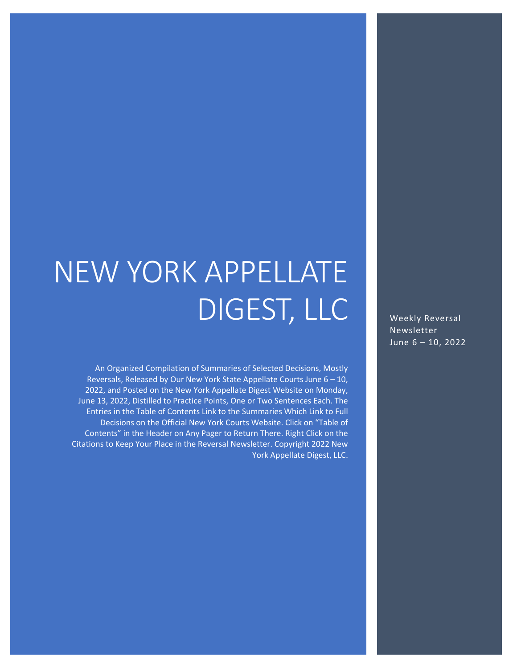# NEW YORK APPELLATE DIGEST, LLC

An Organized Compilation of Summaries of Selected Decisions, Mostly Reversals, Released by Our New York State Appellate Courts June 6 – 10, 2022, and Posted on the New York Appellate Digest Website on Monday, June 13, 2022, Distilled to Practice Points, One or Two Sentences Each. The Entries in the Table of Contents Link to the Summaries Which Link to Full Decisions on the Official New York Courts Website. Click on "Table of Contents" in the Header on Any Pager to Return There. Right Click on the Citations to Keep Your Place in the Reversal Newsletter. Copyright 2022 New York Appellate Digest, LLC.

Weekly Reversal Newsletter June 6 – 10, 2022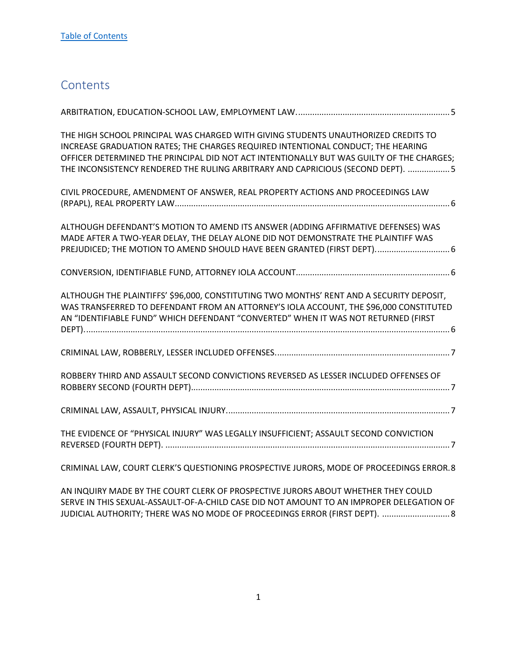## <span id="page-1-0"></span>**Contents**

| THE HIGH SCHOOL PRINCIPAL WAS CHARGED WITH GIVING STUDENTS UNAUTHORIZED CREDITS TO<br>INCREASE GRADUATION RATES; THE CHARGES REQUIRED INTENTIONAL CONDUCT; THE HEARING<br>OFFICER DETERMINED THE PRINCIPAL DID NOT ACT INTENTIONALLY BUT WAS GUILTY OF THE CHARGES;<br>THE INCONSISTENCY RENDERED THE RULING ARBITRARY AND CAPRICIOUS (SECOND DEPT). 5 |
|--------------------------------------------------------------------------------------------------------------------------------------------------------------------------------------------------------------------------------------------------------------------------------------------------------------------------------------------------------|
| CIVIL PROCEDURE, AMENDMENT OF ANSWER, REAL PROPERTY ACTIONS AND PROCEEDINGS LAW                                                                                                                                                                                                                                                                        |
| ALTHOUGH DEFENDANT'S MOTION TO AMEND ITS ANSWER (ADDING AFFIRMATIVE DEFENSES) WAS<br>MADE AFTER A TWO-YEAR DELAY, THE DELAY ALONE DID NOT DEMONSTRATE THE PLAINTIFF WAS<br>PREJUDICED; THE MOTION TO AMEND SHOULD HAVE BEEN GRANTED (FIRST DEPT) 6                                                                                                     |
|                                                                                                                                                                                                                                                                                                                                                        |
| ALTHOUGH THE PLAINTIFFS' \$96,000, CONSTITUTING TWO MONTHS' RENT AND A SECURITY DEPOSIT,<br>WAS TRANSFERRED TO DEFENDANT FROM AN ATTORNEY'S IOLA ACCOUNT, THE \$96,000 CONSTITUTED<br>AN "IDENTIFIABLE FUND" WHICH DEFENDANT "CONVERTED" WHEN IT WAS NOT RETURNED (FIRST                                                                               |
|                                                                                                                                                                                                                                                                                                                                                        |
| ROBBERY THIRD AND ASSAULT SECOND CONVICTIONS REVERSED AS LESSER INCLUDED OFFENSES OF                                                                                                                                                                                                                                                                   |
|                                                                                                                                                                                                                                                                                                                                                        |
| THE EVIDENCE OF "PHYSICAL INJURY" WAS LEGALLY INSUFFICIENT; ASSAULT SECOND CONVICTION                                                                                                                                                                                                                                                                  |
| CRIMINAL LAW, COURT CLERK'S QUESTIONING PROSPECTIVE JURORS, MODE OF PROCEEDINGS ERROR.8                                                                                                                                                                                                                                                                |

[AN INQUIRY MADE BY THE COURT CLERK OF PROSPECTIVE JURORS ABOUT WHETHER THEY COULD](#page-8-1)  [SERVE IN THIS SEXUAL-ASSAULT-OF-A-CHILD CASE DID NOT AMOUNT TO AN IMPROPER DELEGATION OF](#page-8-1)  JUDICIAL AUTHORITY; THERE WAS NO MODE OF PROCEEDINGS ERROR (FIRST DEPT). ............................ 8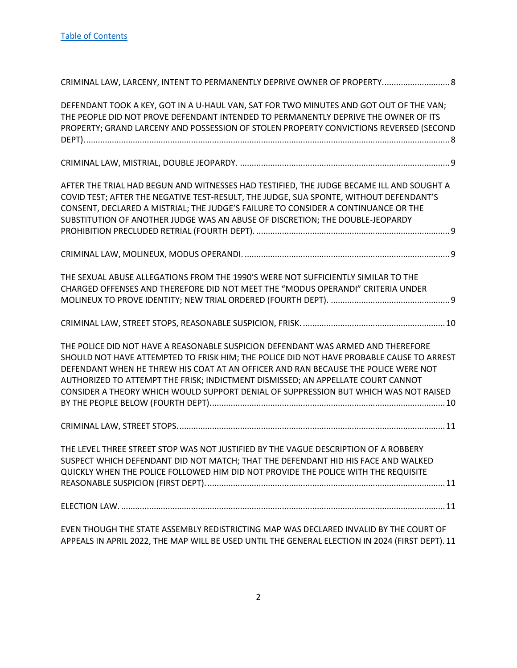| CRIMINAL LAW, LARCENY, INTENT TO PERMANENTLY DEPRIVE OWNER OF PROPERTY 8                                                                                                                                                                                                                                                                                                                                                                       |
|------------------------------------------------------------------------------------------------------------------------------------------------------------------------------------------------------------------------------------------------------------------------------------------------------------------------------------------------------------------------------------------------------------------------------------------------|
| DEFENDANT TOOK A KEY, GOT IN A U-HAUL VAN, SAT FOR TWO MINUTES AND GOT OUT OF THE VAN;<br>THE PEOPLE DID NOT PROVE DEFENDANT INTENDED TO PERMANENTLY DEPRIVE THE OWNER OF ITS<br>PROPERTY; GRAND LARCENY AND POSSESSION OF STOLEN PROPERTY CONVICTIONS REVERSED (SECOND                                                                                                                                                                        |
|                                                                                                                                                                                                                                                                                                                                                                                                                                                |
| AFTER THE TRIAL HAD BEGUN AND WITNESSES HAD TESTIFIED, THE JUDGE BECAME ILL AND SOUGHT A<br>COVID TEST; AFTER THE NEGATIVE TEST-RESULT, THE JUDGE, SUA SPONTE, WITHOUT DEFENDANT'S<br>CONSENT, DECLARED A MISTRIAL; THE JUDGE'S FAILURE TO CONSIDER A CONTINUANCE OR THE<br>SUBSTITUTION OF ANOTHER JUDGE WAS AN ABUSE OF DISCRETION; THE DOUBLE-JEOPARDY                                                                                      |
|                                                                                                                                                                                                                                                                                                                                                                                                                                                |
| THE SEXUAL ABUSE ALLEGATIONS FROM THE 1990'S WERE NOT SUFFICIENTLY SIMILAR TO THE<br>CHARGED OFFENSES AND THEREFORE DID NOT MEET THE "MODUS OPERANDI" CRITERIA UNDER                                                                                                                                                                                                                                                                           |
|                                                                                                                                                                                                                                                                                                                                                                                                                                                |
| THE POLICE DID NOT HAVE A REASONABLE SUSPICION DEFENDANT WAS ARMED AND THEREFORE<br>SHOULD NOT HAVE ATTEMPTED TO FRISK HIM; THE POLICE DID NOT HAVE PROBABLE CAUSE TO ARREST<br>DEFENDANT WHEN HE THREW HIS COAT AT AN OFFICER AND RAN BECAUSE THE POLICE WERE NOT<br>AUTHORIZED TO ATTEMPT THE FRISK; INDICTMENT DISMISSED; AN APPELLATE COURT CANNOT<br>CONSIDER A THEORY WHICH WOULD SUPPORT DENIAL OF SUPPRESSION BUT WHICH WAS NOT RAISED |
|                                                                                                                                                                                                                                                                                                                                                                                                                                                |
| THE LEVEL THREE STREET STOP WAS NOT JUSTIFIED BY THE VAGUE DESCRIPTION OF A ROBBERY<br>SUSPECT WHICH DEFENDANT DID NOT MATCH; THAT THE DEFENDANT HID HIS FACE AND WALKED<br>QUICKLY WHEN THE POLICE FOLLOWED HIM DID NOT PROVIDE THE POLICE WITH THE REQUISITE                                                                                                                                                                                 |
|                                                                                                                                                                                                                                                                                                                                                                                                                                                |
| EVEN THOUGH THE STATE ASSEMBLY REDISTRICTING MAP WAS DECLARED INVALID BY THE COURT OF<br>APPEALS IN APRIL 2022, THE MAP WILL BE USED UNTIL THE GENERAL ELECTION IN 2024 (FIRST DEPT). 11                                                                                                                                                                                                                                                       |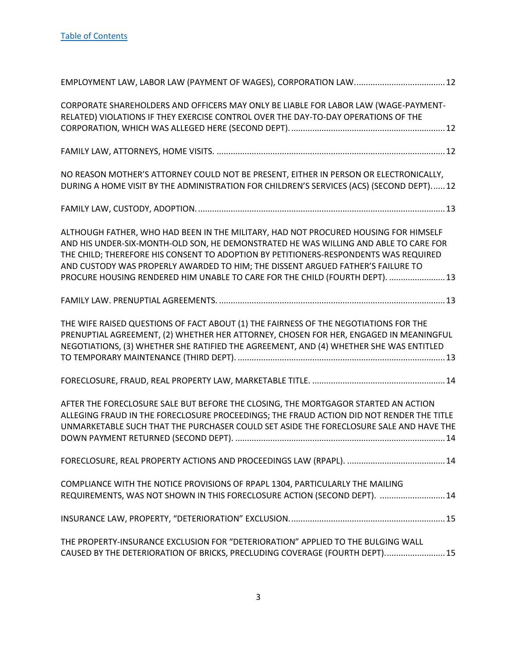| CORPORATE SHAREHOLDERS AND OFFICERS MAY ONLY BE LIABLE FOR LABOR LAW (WAGE-PAYMENT-<br>RELATED) VIOLATIONS IF THEY EXERCISE CONTROL OVER THE DAY-TO-DAY OPERATIONS OF THE                                                                                                                                                                                                                                                              |
|----------------------------------------------------------------------------------------------------------------------------------------------------------------------------------------------------------------------------------------------------------------------------------------------------------------------------------------------------------------------------------------------------------------------------------------|
|                                                                                                                                                                                                                                                                                                                                                                                                                                        |
| NO REASON MOTHER'S ATTORNEY COULD NOT BE PRESENT, EITHER IN PERSON OR ELECTRONICALLY,<br>DURING A HOME VISIT BY THE ADMINISTRATION FOR CHILDREN'S SERVICES (ACS) (SECOND DEPT) 12                                                                                                                                                                                                                                                      |
|                                                                                                                                                                                                                                                                                                                                                                                                                                        |
| ALTHOUGH FATHER, WHO HAD BEEN IN THE MILITARY, HAD NOT PROCURED HOUSING FOR HIMSELF<br>AND HIS UNDER-SIX-MONTH-OLD SON, HE DEMONSTRATED HE WAS WILLING AND ABLE TO CARE FOR<br>THE CHILD; THEREFORE HIS CONSENT TO ADOPTION BY PETITIONERS-RESPONDENTS WAS REQUIRED<br>AND CUSTODY WAS PROPERLY AWARDED TO HIM; THE DISSENT ARGUED FATHER'S FAILURE TO<br>PROCURE HOUSING RENDERED HIM UNABLE TO CARE FOR THE CHILD (FOURTH DEPT).  13 |
|                                                                                                                                                                                                                                                                                                                                                                                                                                        |
| THE WIFE RAISED QUESTIONS OF FACT ABOUT (1) THE FAIRNESS OF THE NEGOTIATIONS FOR THE<br>PRENUPTIAL AGREEMENT, (2) WHETHER HER ATTORNEY, CHOSEN FOR HER, ENGAGED IN MEANINGFUL<br>NEGOTIATIONS, (3) WHETHER SHE RATIFIED THE AGREEMENT, AND (4) WHETHER SHE WAS ENTITLED                                                                                                                                                                |
|                                                                                                                                                                                                                                                                                                                                                                                                                                        |
| AFTER THE FORECLOSURE SALE BUT BEFORE THE CLOSING, THE MORTGAGOR STARTED AN ACTION<br>ALLEGING FRAUD IN THE FORECLOSURE PROCEEDINGS; THE FRAUD ACTION DID NOT RENDER THE TITLE<br>UNMARKETABLE SUCH THAT THE PURCHASER COULD SET ASIDE THE FORECLOSURE SALE AND HAVE THE                                                                                                                                                               |
|                                                                                                                                                                                                                                                                                                                                                                                                                                        |
| COMPLIANCE WITH THE NOTICE PROVISIONS OF RPAPL 1304, PARTICULARLY THE MAILING<br>REQUIREMENTS, WAS NOT SHOWN IN THIS FORECLOSURE ACTION (SECOND DEPT).  14                                                                                                                                                                                                                                                                             |
|                                                                                                                                                                                                                                                                                                                                                                                                                                        |
| THE PROPERTY-INSURANCE EXCLUSION FOR "DETERIORATION" APPLIED TO THE BULGING WALL<br>CAUSED BY THE DETERIORATION OF BRICKS, PRECLUDING COVERAGE (FOURTH DEPT) 15                                                                                                                                                                                                                                                                        |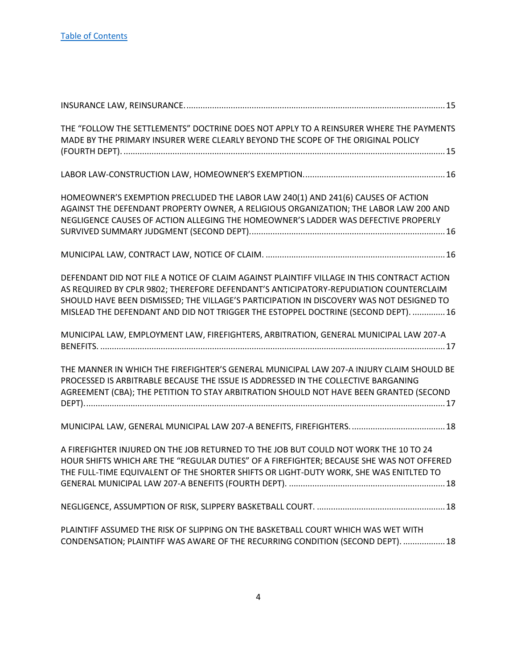| THE "FOLLOW THE SETTLEMENTS" DOCTRINE DOES NOT APPLY TO A REINSURER WHERE THE PAYMENTS<br>MADE BY THE PRIMARY INSURER WERE CLEARLY BEYOND THE SCOPE OF THE ORIGINAL POLICY                                                                                                                                                                                            |
|-----------------------------------------------------------------------------------------------------------------------------------------------------------------------------------------------------------------------------------------------------------------------------------------------------------------------------------------------------------------------|
|                                                                                                                                                                                                                                                                                                                                                                       |
| HOMEOWNER'S EXEMPTION PRECLUDED THE LABOR LAW 240(1) AND 241(6) CAUSES OF ACTION<br>AGAINST THE DEFENDANT PROPERTY OWNER, A RELIGIOUS ORGANIZATION; THE LABOR LAW 200 AND<br>NEGLIGENCE CAUSES OF ACTION ALLEGING THE HOMEOWNER'S LADDER WAS DEFECTIVE PROPERLY                                                                                                       |
|                                                                                                                                                                                                                                                                                                                                                                       |
| DEFENDANT DID NOT FILE A NOTICE OF CLAIM AGAINST PLAINTIFF VILLAGE IN THIS CONTRACT ACTION<br>AS REQUIRED BY CPLR 9802; THEREFORE DEFENDANT'S ANTICIPATORY-REPUDIATION COUNTERCLAIM<br>SHOULD HAVE BEEN DISMISSED; THE VILLAGE'S PARTICIPATION IN DISCOVERY WAS NOT DESIGNED TO<br>MISLEAD THE DEFENDANT AND DID NOT TRIGGER THE ESTOPPEL DOCTRINE (SECOND DEPT).  16 |
| MUNICIPAL LAW, EMPLOYMENT LAW, FIREFIGHTERS, ARBITRATION, GENERAL MUNICIPAL LAW 207-A                                                                                                                                                                                                                                                                                 |
| THE MANNER IN WHICH THE FIREFIGHTER'S GENERAL MUNICIPAL LAW 207-A INJURY CLAIM SHOULD BE<br>PROCESSED IS ARBITRABLE BECAUSE THE ISSUE IS ADDRESSED IN THE COLLECTIVE BARGANING<br>AGREEMENT (CBA); THE PETITION TO STAY ARBITRATION SHOULD NOT HAVE BEEN GRANTED (SECOND                                                                                              |
|                                                                                                                                                                                                                                                                                                                                                                       |
| A FIREFIGHTER INJURED ON THE JOB RETURNED TO THE JOB BUT COULD NOT WORK THE 10 TO 24<br>HOUR SHIFTS WHICH ARE THE "REGULAR DUTIES" OF A FIREFIGHTER; BECAUSE SHE WAS NOT OFFERED<br>THE FULL-TIME EQUIVALENT OF THE SHORTER SHIFTS OR LIGHT-DUTY WORK, SHE WAS ENITLTED TO                                                                                            |
|                                                                                                                                                                                                                                                                                                                                                                       |
| PLAINTIFF ASSUMED THE RISK OF SLIPPING ON THE BASKETBALL COURT WHICH WAS WET WITH<br>CONDENSATION; PLAINTIFF WAS AWARE OF THE RECURRING CONDITION (SECOND DEPT).  18                                                                                                                                                                                                  |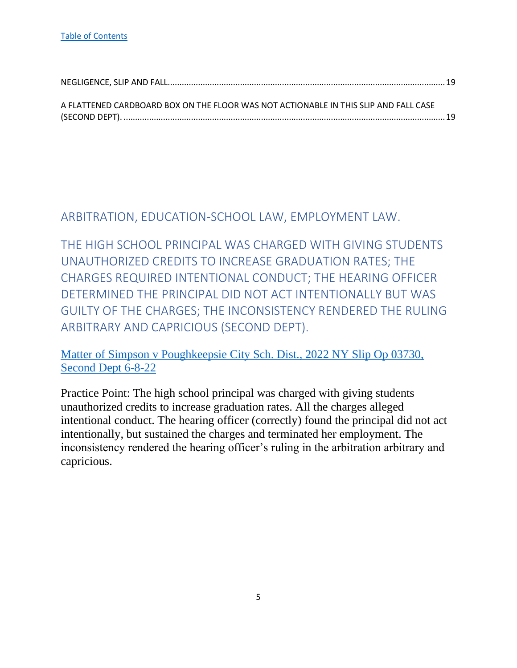| A FLATTENED CARDBOARD BOX ON THE FLOOR WAS NOT ACTIONABLE IN THIS SLIP AND FALL CASE |  |
|--------------------------------------------------------------------------------------|--|
|                                                                                      |  |
|                                                                                      |  |

## <span id="page-5-0"></span>ARBITRATION, EDUCATION-SCHOOL LAW, EMPLOYMENT LAW.

<span id="page-5-1"></span>THE HIGH SCHOOL PRINCIPAL WAS CHARGED WITH GIVING STUDENTS UNAUTHORIZED CREDITS TO INCREASE GRADUATION RATES; THE CHARGES REQUIRED INTENTIONAL CONDUCT; THE HEARING OFFICER DETERMINED THE PRINCIPAL DID NOT ACT INTENTIONALLY BUT WAS GUILTY OF THE CHARGES; THE INCONSISTENCY RENDERED THE RULING ARBITRARY AND CAPRICIOUS (SECOND DEPT).

[Matter of Simpson v Poughkeepsie City Sch. Dist., 2022 NY Slip Op 03730,](https://nycourts.gov/reporter/3dseries/2022/2022_03730.htm)  [Second Dept 6-8-22](https://nycourts.gov/reporter/3dseries/2022/2022_03730.htm)

Practice Point: The high school principal was charged with giving students unauthorized credits to increase graduation rates. All the charges alleged intentional conduct. The hearing officer (correctly) found the principal did not act intentionally, but sustained the charges and terminated her employment. The inconsistency rendered the hearing officer's ruling in the arbitration arbitrary and capricious.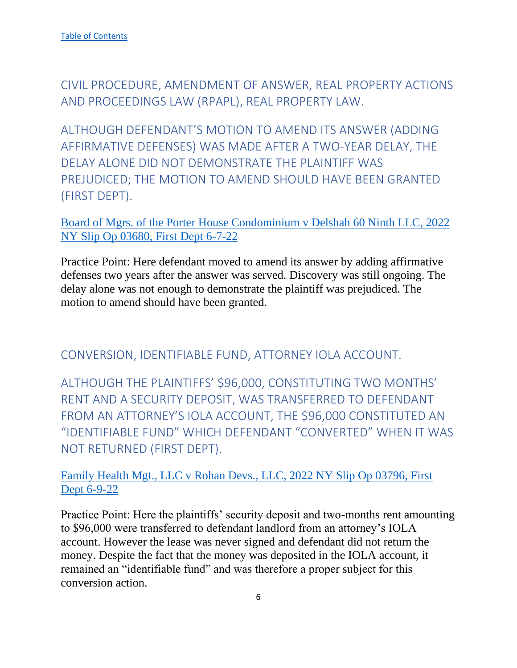<span id="page-6-0"></span>CIVIL PROCEDURE, AMENDMENT OF ANSWER, REAL PROPERTY ACTIONS AND PROCEEDINGS LAW (RPAPL), REAL PROPERTY LAW.

<span id="page-6-1"></span>ALTHOUGH DEFENDANT'S MOTION TO AMEND ITS ANSWER (ADDING AFFIRMATIVE DEFENSES) WAS MADE AFTER A TWO-YEAR DELAY, THE DELAY ALONE DID NOT DEMONSTRATE THE PLAINTIFF WAS PREJUDICED; THE MOTION TO AMEND SHOULD HAVE BEEN GRANTED (FIRST DEPT).

[Board of Mgrs. of the Porter House Condominium v Delshah 60 Ninth LLC, 2022](https://nycourts.gov/reporter/3dseries/2022/2022_03680.htm)  [NY Slip Op 03680, First Dept 6-7-22](https://nycourts.gov/reporter/3dseries/2022/2022_03680.htm)

Practice Point: Here defendant moved to amend its answer by adding affirmative defenses two years after the answer was served. Discovery was still ongoing. The delay alone was not enough to demonstrate the plaintiff was prejudiced. The motion to amend should have been granted.

<span id="page-6-2"></span>CONVERSION, IDENTIFIABLE FUND, ATTORNEY IOLA ACCOUNT.

<span id="page-6-3"></span>ALTHOUGH THE PLAINTIFFS' \$96,000, CONSTITUTING TWO MONTHS' RENT AND A SECURITY DEPOSIT, WAS TRANSFERRED TO DEFENDANT FROM AN ATTORNEY'S IOLA ACCOUNT, THE \$96,000 CONSTITUTED AN "IDENTIFIABLE FUND" WHICH DEFENDANT "CONVERTED" WHEN IT WAS NOT RETURNED (FIRST DEPT).

[Family Health Mgt., LLC v Rohan Devs., LLC, 2022 NY Slip Op 03796, First](https://nycourts.gov/reporter/3dseries/2022/2022_03796.htm)  [Dept 6-9-22](https://nycourts.gov/reporter/3dseries/2022/2022_03796.htm)

Practice Point: Here the plaintiffs' security deposit and two-months rent amounting to \$96,000 were transferred to defendant landlord from an attorney's IOLA account. However the lease was never signed and defendant did not return the money. Despite the fact that the money was deposited in the IOLA account, it remained an "identifiable fund" and was therefore a proper subject for this conversion action.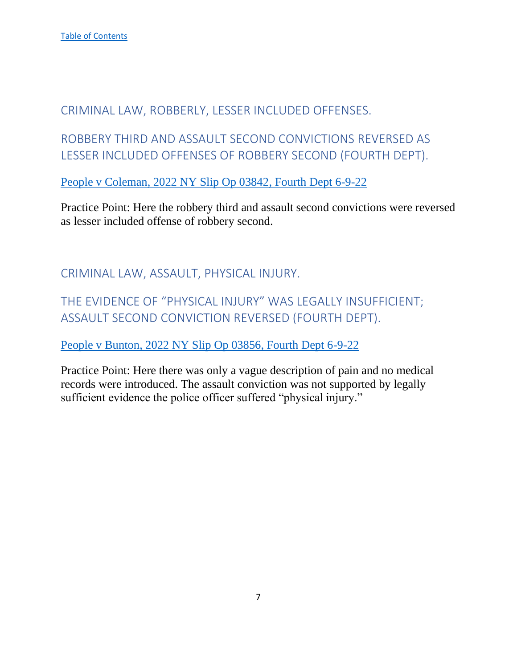## <span id="page-7-0"></span>CRIMINAL LAW, ROBBERLY, LESSER INCLUDED OFFENSES.

<span id="page-7-1"></span>ROBBERY THIRD AND ASSAULT SECOND CONVICTIONS REVERSED AS LESSER INCLUDED OFFENSES OF ROBBERY SECOND (FOURTH DEPT).

[People v Coleman, 2022 NY Slip Op 03842, Fourth Dept 6-9-22](https://nycourts.gov/reporter/3dseries/2022/2022_03842.htm)

Practice Point: Here the robbery third and assault second convictions were reversed as lesser included offense of robbery second.

<span id="page-7-2"></span>CRIMINAL LAW, ASSAULT, PHYSICAL INJURY.

<span id="page-7-3"></span>THE EVIDENCE OF "PHYSICAL INJURY" WAS LEGALLY INSUFFICIENT; ASSAULT SECOND CONVICTION REVERSED (FOURTH DEPT).

[People v Bunton, 2022 NY Slip Op 03856, Fourth Dept 6-9-22](https://nycourts.gov/reporter/3dseries/2022/2022_03856.htm)

Practice Point: Here there was only a vague description of pain and no medical records were introduced. The assault conviction was not supported by legally sufficient evidence the police officer suffered "physical injury."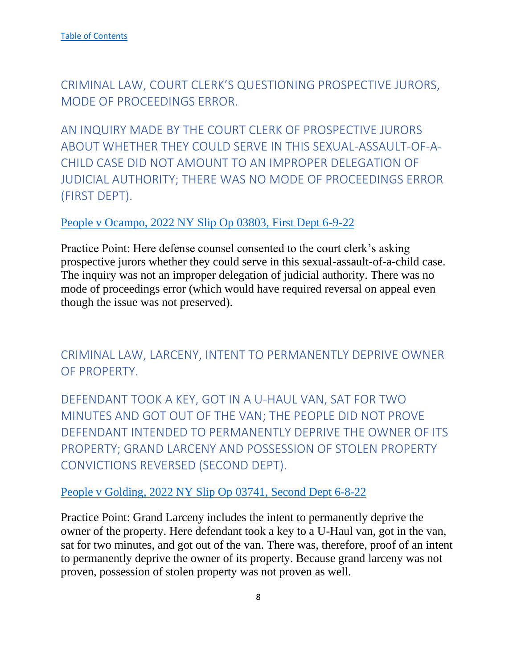<span id="page-8-0"></span>CRIMINAL LAW, COURT CLERK'S QUESTIONING PROSPECTIVE JURORS, MODE OF PROCEEDINGS ERROR.

<span id="page-8-1"></span>AN INQUIRY MADE BY THE COURT CLERK OF PROSPECTIVE JURORS ABOUT WHETHER THEY COULD SERVE IN THIS SEXUAL-ASSAULT-OF-A-CHILD CASE DID NOT AMOUNT TO AN IMPROPER DELEGATION OF JUDICIAL AUTHORITY; THERE WAS NO MODE OF PROCEEDINGS ERROR (FIRST DEPT).

## [People v Ocampo, 2022 NY Slip Op 03803, First Dept 6-9-22](https://nycourts.gov/reporter/3dseries/2022/2022_03803.htm)

Practice Point: Here defense counsel consented to the court clerk's asking prospective jurors whether they could serve in this sexual-assault-of-a-child case. The inquiry was not an improper delegation of judicial authority. There was no mode of proceedings error (which would have required reversal on appeal even though the issue was not preserved).

<span id="page-8-2"></span>CRIMINAL LAW, LARCENY, INTENT TO PERMANENTLY DEPRIVE OWNER OF PROPERTY.

<span id="page-8-3"></span>DEFENDANT TOOK A KEY, GOT IN A U-HAUL VAN, SAT FOR TWO MINUTES AND GOT OUT OF THE VAN; THE PEOPLE DID NOT PROVE DEFENDANT INTENDED TO PERMANENTLY DEPRIVE THE OWNER OF ITS PROPERTY; GRAND LARCENY AND POSSESSION OF STOLEN PROPERTY CONVICTIONS REVERSED (SECOND DEPT).

## [People v Golding, 2022 NY Slip Op 03741, Second Dept 6-8-22](https://nycourts.gov/reporter/3dseries/2022/2022_03741.htm)

Practice Point: Grand Larceny includes the intent to permanently deprive the owner of the property. Here defendant took a key to a U-Haul van, got in the van, sat for two minutes, and got out of the van. There was, therefore, proof of an intent to permanently deprive the owner of its property. Because grand larceny was not proven, possession of stolen property was not proven as well.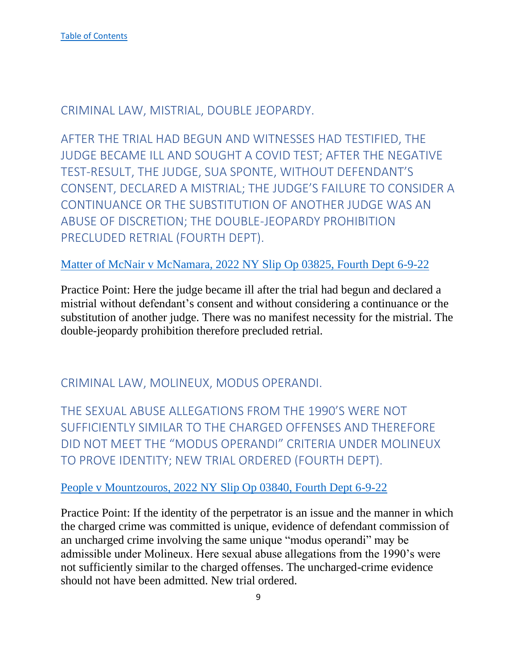<span id="page-9-0"></span>CRIMINAL LAW, MISTRIAL, DOUBLE JEOPARDY.

<span id="page-9-1"></span>AFTER THE TRIAL HAD BEGUN AND WITNESSES HAD TESTIFIED, THE JUDGE BECAME ILL AND SOUGHT A COVID TEST; AFTER THE NEGATIVE TEST-RESULT, THE JUDGE, SUA SPONTE, WITHOUT DEFENDANT'S CONSENT, DECLARED A MISTRIAL; THE JUDGE'S FAILURE TO CONSIDER A CONTINUANCE OR THE SUBSTITUTION OF ANOTHER JUDGE WAS AN ABUSE OF DISCRETION; THE DOUBLE-JEOPARDY PROHIBITION PRECLUDED RETRIAL (FOURTH DEPT).

[Matter of McNair v McNamara, 2022 NY Slip Op 03825, Fourth Dept 6-9-22](https://nycourts.gov/reporter/3dseries/2022/2022_03825.htm)

Practice Point: Here the judge became ill after the trial had begun and declared a mistrial without defendant's consent and without considering a continuance or the substitution of another judge. There was no manifest necessity for the mistrial. The double-jeopardy prohibition therefore precluded retrial.

<span id="page-9-2"></span>CRIMINAL LAW, MOLINEUX, MODUS OPERANDI.

<span id="page-9-3"></span>THE SEXUAL ABUSE ALLEGATIONS FROM THE 1990'S WERE NOT SUFFICIENTLY SIMILAR TO THE CHARGED OFFENSES AND THEREFORE DID NOT MEET THE "MODUS OPERANDI" CRITERIA UNDER MOLINEUX TO PROVE IDENTITY; NEW TRIAL ORDERED (FOURTH DEPT).

#### [People v Mountzouros, 2022 NY Slip Op 03840, Fourth Dept 6-9-22](https://nycourts.gov/reporter/3dseries/2022/2022_03840.htm)

Practice Point: If the identity of the perpetrator is an issue and the manner in which the charged crime was committed is unique, evidence of defendant commission of an uncharged crime involving the same unique "modus operandi" may be admissible under Molineux. Here sexual abuse allegations from the 1990's were not sufficiently similar to the charged offenses. The uncharged-crime evidence should not have been admitted. New trial ordered.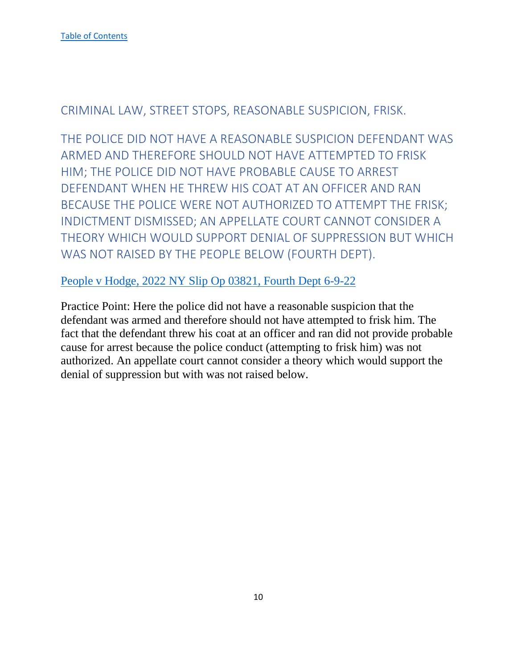<span id="page-10-0"></span>CRIMINAL LAW, STREET STOPS, REASONABLE SUSPICION, FRISK.

<span id="page-10-1"></span>THE POLICE DID NOT HAVE A REASONABLE SUSPICION DEFENDANT WAS ARMED AND THEREFORE SHOULD NOT HAVE ATTEMPTED TO FRISK HIM; THE POLICE DID NOT HAVE PROBABLE CAUSE TO ARREST DEFENDANT WHEN HE THREW HIS COAT AT AN OFFICER AND RAN BECAUSE THE POLICE WERE NOT AUTHORIZED TO ATTEMPT THE FRISK; INDICTMENT DISMISSED; AN APPELLATE COURT CANNOT CONSIDER A THEORY WHICH WOULD SUPPORT DENIAL OF SUPPRESSION BUT WHICH WAS NOT RAISED BY THE PEOPLE BELOW (FOURTH DEPT).

[People v Hodge, 2022 NY Slip Op 03821, Fourth Dept 6-9-22](https://nycourts.gov/reporter/3dseries/2022/2022_03821.htm)

Practice Point: Here the police did not have a reasonable suspicion that the defendant was armed and therefore should not have attempted to frisk him. The fact that the defendant threw his coat at an officer and ran did not provide probable cause for arrest because the police conduct (attempting to frisk him) was not authorized. An appellate court cannot consider a theory which would support the denial of suppression but with was not raised below.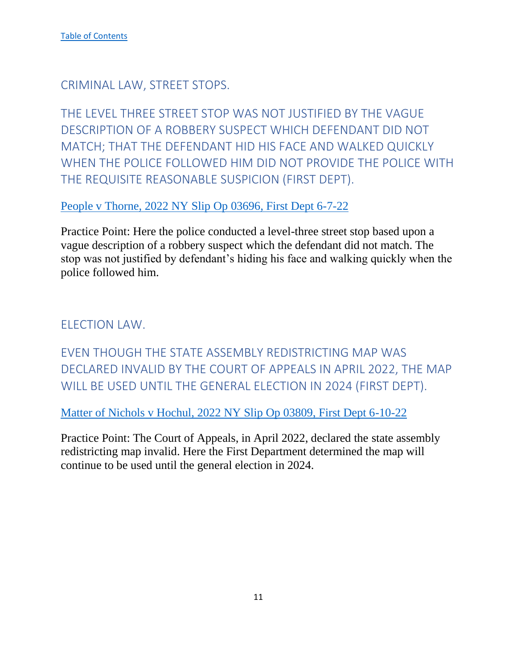<span id="page-11-0"></span>CRIMINAL LAW, STREET STOPS.

<span id="page-11-1"></span>THE LEVEL THREE STREET STOP WAS NOT JUSTIFIED BY THE VAGUE DESCRIPTION OF A ROBBERY SUSPECT WHICH DEFENDANT DID NOT MATCH; THAT THE DEFENDANT HID HIS FACE AND WALKED QUICKLY WHEN THE POLICE FOLLOWED HIM DID NOT PROVIDE THE POLICE WITH THE REQUISITE REASONABLE SUSPICION (FIRST DEPT).

[People v Thorne, 2022 NY Slip Op 03696, First Dept 6-7-22](https://nycourts.gov/reporter/3dseries/2022/2022_03696.htm)

Practice Point: Here the police conducted a level-three street stop based upon a vague description of a robbery suspect which the defendant did not match. The stop was not justified by defendant's hiding his face and walking quickly when the police followed him.

<span id="page-11-2"></span>ELECTION LAW.

<span id="page-11-3"></span>EVEN THOUGH THE STATE ASSEMBLY REDISTRICTING MAP WAS DECLARED INVALID BY THE COURT OF APPEALS IN APRIL 2022, THE MAP WILL BE USED UNTIL THE GENERAL ELECTION IN 2024 (FIRST DEPT).

[Matter of Nichols v Hochul, 2022 NY Slip Op 03809, First Dept 6-10-22](https://nycourts.gov/reporter/3dseries/2022/2022_03809.htm)

Practice Point: The Court of Appeals, in April 2022, declared the state assembly redistricting map invalid. Here the First Department determined the map will continue to be used until the general election in 2024.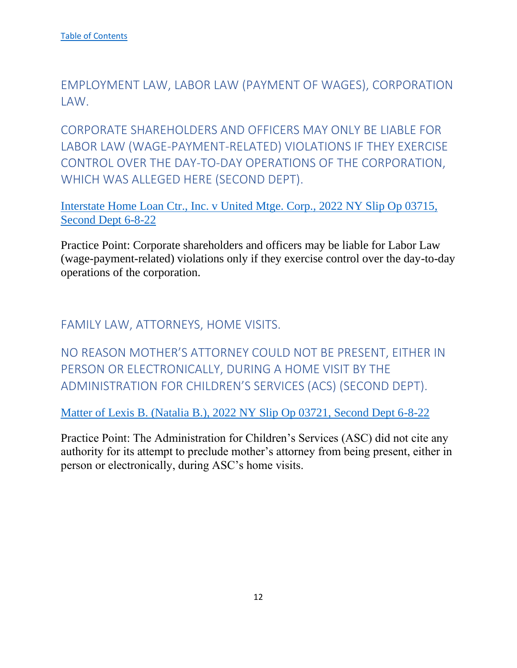<span id="page-12-0"></span>EMPLOYMENT LAW, LABOR LAW (PAYMENT OF WAGES), CORPORATION LAW.

<span id="page-12-1"></span>CORPORATE SHAREHOLDERS AND OFFICERS MAY ONLY BE LIABLE FOR LABOR LAW (WAGE-PAYMENT-RELATED) VIOLATIONS IF THEY EXERCISE CONTROL OVER THE DAY-TO-DAY OPERATIONS OF THE CORPORATION, WHICH WAS ALLEGED HERE (SECOND DEPT).

[Interstate Home Loan Ctr., Inc. v United Mtge. Corp., 2022 NY Slip Op 03715,](https://nycourts.gov/reporter/3dseries/2022/2022_03715.htm)  [Second Dept 6-8-22](https://nycourts.gov/reporter/3dseries/2022/2022_03715.htm)

Practice Point: Corporate shareholders and officers may be liable for Labor Law (wage-payment-related) violations only if they exercise control over the day-to-day operations of the corporation.

<span id="page-12-2"></span>FAMILY LAW, ATTORNEYS, HOME VISITS.

<span id="page-12-3"></span>NO REASON MOTHER'S ATTORNEY COULD NOT BE PRESENT, EITHER IN PERSON OR ELECTRONICALLY, DURING A HOME VISIT BY THE ADMINISTRATION FOR CHILDREN'S SERVICES (ACS) (SECOND DEPT).

[Matter of Lexis B. \(Natalia B.\), 2022 NY Slip Op 03721, Second Dept 6-8-22](https://nycourts.gov/reporter/3dseries/2022/2022_03721.htm)

Practice Point: The Administration for Children's Services (ASC) did not cite any authority for its attempt to preclude mother's attorney from being present, either in person or electronically, during ASC's home visits.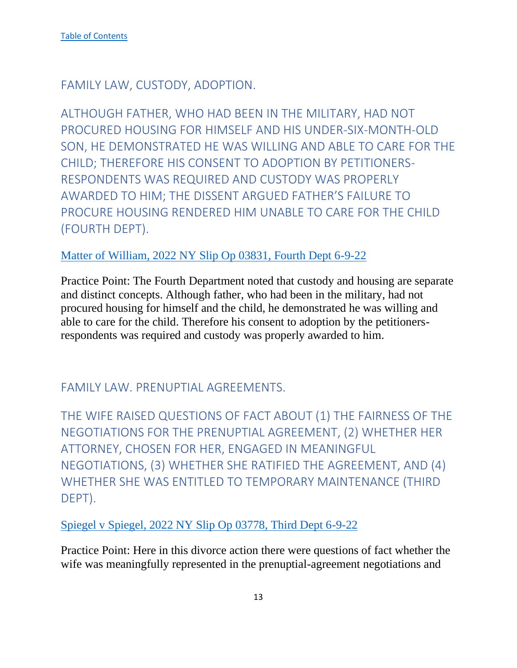<span id="page-13-0"></span>FAMILY LAW, CUSTODY, ADOPTION.

<span id="page-13-1"></span>ALTHOUGH FATHER, WHO HAD BEEN IN THE MILITARY, HAD NOT PROCURED HOUSING FOR HIMSELF AND HIS UNDER-SIX-MONTH-OLD SON, HE DEMONSTRATED HE WAS WILLING AND ABLE TO CARE FOR THE CHILD; THEREFORE HIS CONSENT TO ADOPTION BY PETITIONERS-RESPONDENTS WAS REQUIRED AND CUSTODY WAS PROPERLY AWARDED TO HIM; THE DISSENT ARGUED FATHER'S FAILURE TO PROCURE HOUSING RENDERED HIM UNABLE TO CARE FOR THE CHILD (FOURTH DEPT).

## [Matter of William, 2022 NY Slip Op 03831, Fourth Dept 6-9-22](https://nycourts.gov/reporter/3dseries/2022/2022_03831.htm)

Practice Point: The Fourth Department noted that custody and housing are separate and distinct concepts. Although father, who had been in the military, had not procured housing for himself and the child, he demonstrated he was willing and able to care for the child. Therefore his consent to adoption by the petitionersrespondents was required and custody was properly awarded to him.

<span id="page-13-2"></span>FAMILY LAW. PRENUPTIAL AGREEMENTS.

<span id="page-13-3"></span>THE WIFE RAISED QUESTIONS OF FACT ABOUT (1) THE FAIRNESS OF THE NEGOTIATIONS FOR THE PRENUPTIAL AGREEMENT, (2) WHETHER HER ATTORNEY, CHOSEN FOR HER, ENGAGED IN MEANINGFUL NEGOTIATIONS, (3) WHETHER SHE RATIFIED THE AGREEMENT, AND (4) WHETHER SHE WAS ENTITLED TO TEMPORARY MAINTENANCE (THIRD DEPT).

[Spiegel v Spiegel, 2022 NY Slip Op 03778, Third Dept 6-9-22](https://nycourts.gov/reporter/3dseries/2022/2022_03778.htm)

Practice Point: Here in this divorce action there were questions of fact whether the wife was meaningfully represented in the prenuptial-agreement negotiations and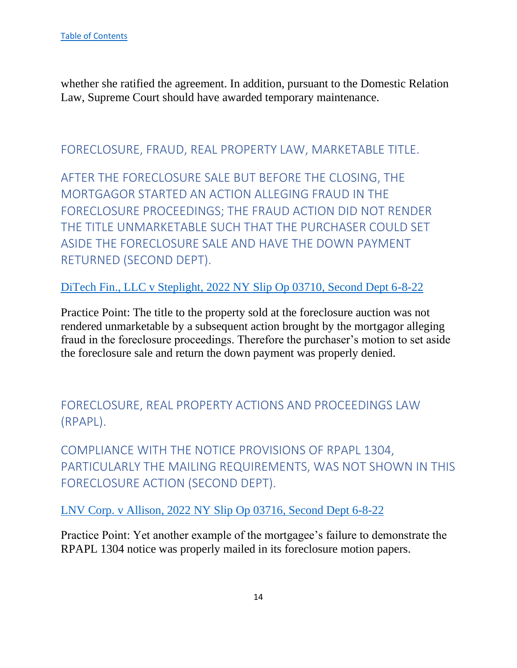whether she ratified the agreement. In addition, pursuant to the Domestic Relation Law, Supreme Court should have awarded temporary maintenance.

<span id="page-14-0"></span>FORECLOSURE, FRAUD, REAL PROPERTY LAW, MARKETABLE TITLE.

<span id="page-14-1"></span>AFTER THE FORECLOSURE SALE BUT BEFORE THE CLOSING, THE MORTGAGOR STARTED AN ACTION ALLEGING FRAUD IN THE FORECLOSURE PROCEEDINGS; THE FRAUD ACTION DID NOT RENDER THE TITLE UNMARKETABLE SUCH THAT THE PURCHASER COULD SET ASIDE THE FORECLOSURE SALE AND HAVE THE DOWN PAYMENT RETURNED (SECOND DEPT).

[DiTech Fin., LLC v Steplight, 2022 NY Slip Op 03710, Second Dept 6-8-22](https://nycourts.gov/reporter/3dseries/2022/2022_03710.htm)

Practice Point: The title to the property sold at the foreclosure auction was not rendered unmarketable by a subsequent action brought by the mortgagor alleging fraud in the foreclosure proceedings. Therefore the purchaser's motion to set aside the foreclosure sale and return the down payment was properly denied.

<span id="page-14-2"></span>FORECLOSURE, REAL PROPERTY ACTIONS AND PROCEEDINGS LAW (RPAPL).

<span id="page-14-3"></span>COMPLIANCE WITH THE NOTICE PROVISIONS OF RPAPL 1304, PARTICULARLY THE MAILING REQUIREMENTS, WAS NOT SHOWN IN THIS FORECLOSURE ACTION (SECOND DEPT).

LNV Corp. v Allison, 2022 [NY Slip Op 03716, Second Dept 6-8-22](https://nycourts.gov/reporter/3dseries/2022/2022_03716.htm)

Practice Point: Yet another example of the mortgagee's failure to demonstrate the RPAPL 1304 notice was properly mailed in its foreclosure motion papers.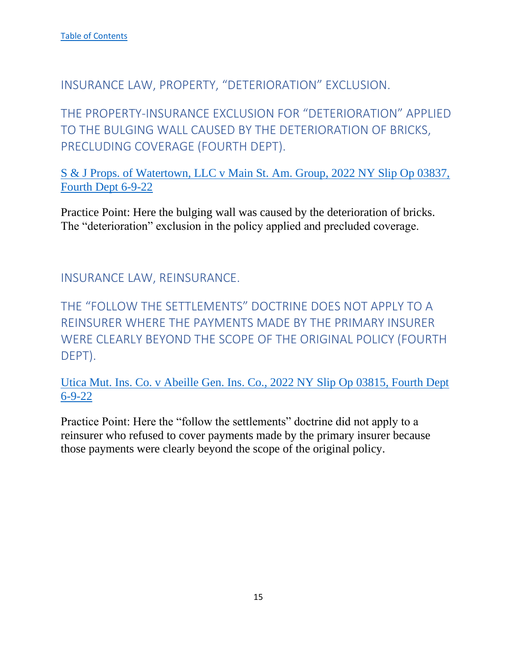<span id="page-15-0"></span>INSURANCE LAW, PROPERTY, "DETERIORATION" EXCLUSION.

<span id="page-15-1"></span>THE PROPERTY-INSURANCE EXCLUSION FOR "DETERIORATION" APPLIED TO THE BULGING WALL CAUSED BY THE DETERIORATION OF BRICKS, PRECLUDING COVERAGE (FOURTH DEPT).

[S & J Props. of Watertown, LLC v Main St. Am. Group, 2022 NY Slip Op 03837,](https://nycourts.gov/reporter/3dseries/2022/2022_03837.htm)  [Fourth Dept 6-9-22](https://nycourts.gov/reporter/3dseries/2022/2022_03837.htm)

Practice Point: Here the bulging wall was caused by the deterioration of bricks. The "deterioration" exclusion in the policy applied and precluded coverage.

<span id="page-15-2"></span>INSURANCE LAW, REINSURANCE.

<span id="page-15-3"></span>THE "FOLLOW THE SETTLEMENTS" DOCTRINE DOES NOT APPLY TO A REINSURER WHERE THE PAYMENTS MADE BY THE PRIMARY INSURER WERE CLEARLY BEYOND THE SCOPE OF THE ORIGINAL POLICY (FOURTH DEPT).

[Utica Mut. Ins. Co. v Abeille Gen. Ins. Co., 2022 NY Slip Op 03815, Fourth Dept](https://nycourts.gov/reporter/3dseries/2022/2022_03815.htm) [6-9-22](https://nycourts.gov/reporter/3dseries/2022/2022_03815.htm)

Practice Point: Here the "follow the settlements" doctrine did not apply to a reinsurer who refused to cover payments made by the primary insurer because those payments were clearly beyond the scope of the original policy.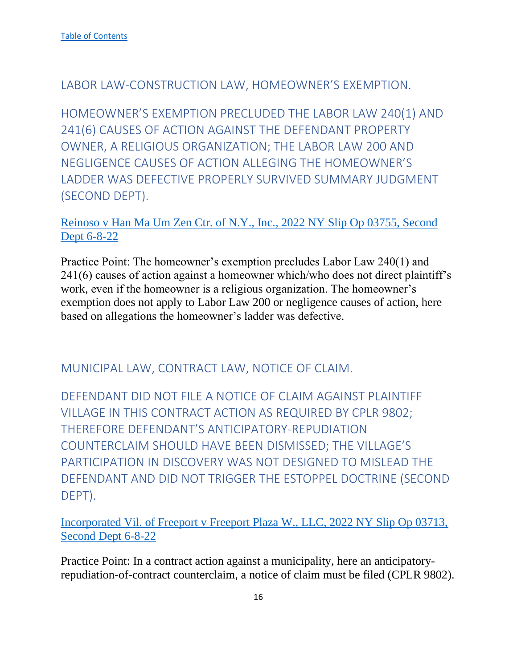## <span id="page-16-0"></span>LABOR LAW-CONSTRUCTION LAW, HOMEOWNER'S EXEMPTION.

<span id="page-16-1"></span>HOMEOWNER'S EXEMPTION PRECLUDED THE LABOR LAW 240(1) AND 241(6) CAUSES OF ACTION AGAINST THE DEFENDANT PROPERTY OWNER, A RELIGIOUS ORGANIZATION; THE LABOR LAW 200 AND NEGLIGENCE CAUSES OF ACTION ALLEGING THE HOMEOWNER'S LADDER WAS DEFECTIVE PROPERLY SURVIVED SUMMARY JUDGMENT (SECOND DEPT).

## [Reinoso v Han Ma Um Zen Ctr. of N.Y., Inc., 2022 NY Slip Op 03755, Second](https://nycourts.gov/reporter/3dseries/2022/2022_03755.htm)  [Dept 6-8-22](https://nycourts.gov/reporter/3dseries/2022/2022_03755.htm)

Practice Point: The homeowner's exemption precludes Labor Law 240(1) and 241(6) causes of action against a homeowner which/who does not direct plaintiff's work, even if the homeowner is a religious organization. The homeowner's exemption does not apply to Labor Law 200 or negligence causes of action, here based on allegations the homeowner's ladder was defective.

## <span id="page-16-2"></span>MUNICIPAL LAW, CONTRACT LAW, NOTICE OF CLAIM.

<span id="page-16-3"></span>DEFENDANT DID NOT FILE A NOTICE OF CLAIM AGAINST PLAINTIFF VILLAGE IN THIS CONTRACT ACTION AS REQUIRED BY CPLR 9802; THEREFORE DEFENDANT'S ANTICIPATORY-REPUDIATION COUNTERCLAIM SHOULD HAVE BEEN DISMISSED; THE VILLAGE'S PARTICIPATION IN DISCOVERY WAS NOT DESIGNED TO MISLEAD THE DEFENDANT AND DID NOT TRIGGER THE ESTOPPEL DOCTRINE (SECOND DEPT).

[Incorporated Vil. of Freeport v Freeport Plaza W., LLC, 2022 NY Slip Op 03713,](https://nycourts.gov/reporter/3dseries/2022/2022_03713.htm)  [Second Dept 6-8-22](https://nycourts.gov/reporter/3dseries/2022/2022_03713.htm)

Practice Point: In a contract action against a municipality, here an anticipatoryrepudiation-of-contract counterclaim, a notice of claim must be filed (CPLR 9802).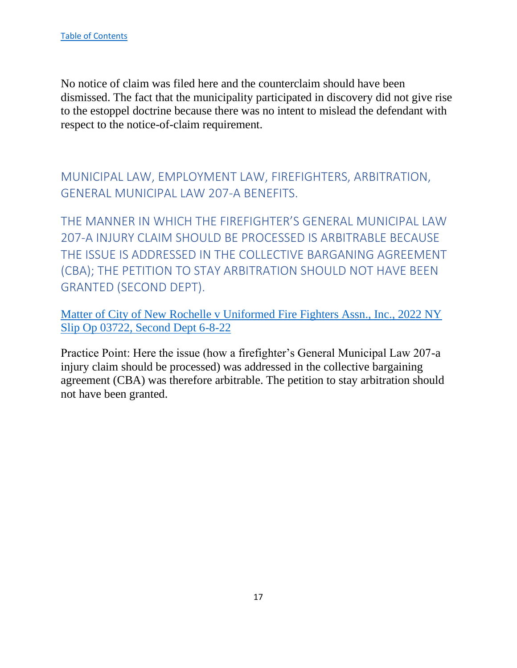No notice of claim was filed here and the counterclaim should have been dismissed. The fact that the municipality participated in discovery did not give rise to the estoppel doctrine because there was no intent to mislead the defendant with respect to the notice-of-claim requirement.

<span id="page-17-0"></span>MUNICIPAL LAW, EMPLOYMENT LAW, FIREFIGHTERS, ARBITRATION, GENERAL MUNICIPAL LAW 207-A BENEFITS.

<span id="page-17-1"></span>THE MANNER IN WHICH THE FIREFIGHTER'S GENERAL MUNICIPAL LAW 207-A INJURY CLAIM SHOULD BE PROCESSED IS ARBITRABLE BECAUSE THE ISSUE IS ADDRESSED IN THE COLLECTIVE BARGANING AGREEMENT (CBA); THE PETITION TO STAY ARBITRATION SHOULD NOT HAVE BEEN GRANTED (SECOND DEPT).

Matter of City of New Rochelle v Uniformed Fire Fighters Assn., Inc., 2022 NY Slip Op 03722, Second Dept 6-8-22

Practice Point: Here the issue (how a firefighter's General Municipal Law 207-a injury claim should be processed) was addressed in the collective bargaining agreement (CBA) was therefore arbitrable. The petition to stay arbitration should not have been granted.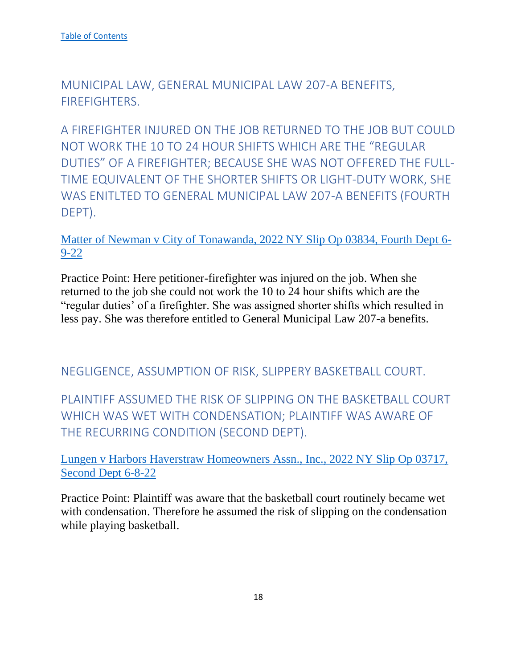<span id="page-18-0"></span>MUNICIPAL LAW, GENERAL MUNICIPAL LAW 207-A BENEFITS, FIREFIGHTERS.

<span id="page-18-1"></span>A FIREFIGHTER INJURED ON THE JOB RETURNED TO THE JOB BUT COULD NOT WORK THE 10 TO 24 HOUR SHIFTS WHICH ARE THE "REGULAR DUTIES" OF A FIREFIGHTER; BECAUSE SHE WAS NOT OFFERED THE FULL-TIME EQUIVALENT OF THE SHORTER SHIFTS OR LIGHT-DUTY WORK, SHE WAS ENITLTED TO GENERAL MUNICIPAL LAW 207-A BENEFITS (FOURTH DEPT).

Matter of Newman v City of Tonawanda, 2022 NY Slip Op 03834, Fourth Dept 6- 9-22

Practice Point: Here petitioner-firefighter was injured on the job. When she returned to the job she could not work the 10 to 24 hour shifts which are the "regular duties' of a firefighter. She was assigned shorter shifts which resulted in less pay. She was therefore entitled to General Municipal Law 207-a benefits.

## <span id="page-18-2"></span>NEGLIGENCE, ASSUMPTION OF RISK, SLIPPERY BASKETBALL COURT.

<span id="page-18-3"></span>PLAINTIFF ASSUMED THE RISK OF SLIPPING ON THE BASKETBALL COURT WHICH WAS WET WITH CONDENSATION; PLAINTIFF WAS AWARE OF THE RECURRING CONDITION (SECOND DEPT).

Lungen v Harbors Haverstraw Homeowners Assn., Inc., 2022 NY Slip Op 03717, Second Dept 6-8-22

Practice Point: Plaintiff was aware that the basketball court routinely became wet with condensation. Therefore he assumed the risk of slipping on the condensation while playing basketball.